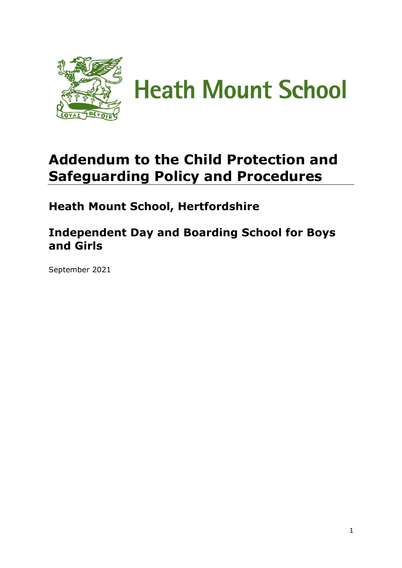

# **Addendum to the Child Protection and Safeguarding Policy and Procedures**

**Heath Mount School, Hertfordshire**

# **Independent Day and Boarding School for Boys and Girls**

September 2021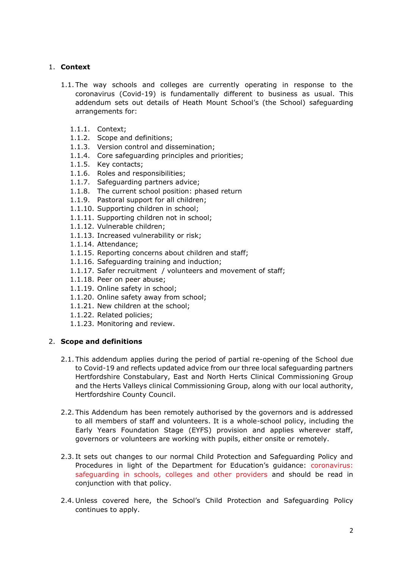# 1. **Context**

- 1.1. The way schools and colleges are currently operating in response to the coronavirus (Covid-19) is fundamentally different to business as usual. This addendum sets out details of Heath Mount School's (the School) safeguarding arrangements for:
	- 1.1.1. Context;
	- 1.1.2. Scope and definitions;
	- 1.1.3. Version control and dissemination;
	- 1.1.4. Core safeguarding principles and priorities;
	- 1.1.5. Key contacts;
	- 1.1.6. Roles and responsibilities;
	- 1.1.7. Safeguarding partners advice;
	- 1.1.8. The current school position: phased return
	- 1.1.9. Pastoral support for all children;
	- 1.1.10. Supporting children in school;
	- 1.1.11. Supporting children not in school;
	- 1.1.12. Vulnerable children;
	- 1.1.13. Increased vulnerability or risk;
	- 1.1.14. Attendance;
	- 1.1.15. Reporting concerns about children and staff;
	- 1.1.16. Safeguarding training and induction;
	- 1.1.17. Safer recruitment / volunteers and movement of staff;
	- 1.1.18. Peer on peer abuse;
	- 1.1.19. Online safety in school;
	- 1.1.20. Online safety away from school;
	- 1.1.21. New children at the school;
	- 1.1.22. Related policies;
	- 1.1.23. Monitoring and review.

# 2. **Scope and definitions**

- 2.1. This addendum applies during the period of partial re-opening of the School due to Covid-19 and reflects updated advice from our three local safeguarding partners Hertfordshire Constabulary, East and North Herts Clinical Commissioning Group and the Herts Valleys clinical Commissioning Group, along with our local authority, Hertfordshire County Council.
- 2.2. This Addendum has been remotely authorised by the governors and is addressed to all members of staff and volunteers. It is a whole-school policy, including the Early Years Foundation Stage (EYFS) provision and applies wherever staff, governors or volunteers are working with pupils, either onsite or remotely.
- 2.3. It sets out changes to our normal Child Protection and Safeguarding Policy and Procedures in light of the Department for Education's guidance: [coronavirus:](https://www.gov.uk/government/publications/covid-19-safeguarding-in-schools-colleges-and-other-providers)  [safeguarding in schools, colleges and other providers](https://www.gov.uk/government/publications/covid-19-safeguarding-in-schools-colleges-and-other-providers) and should be read in conjunction with that policy.
- 2.4. Unless covered here, the School's Child Protection and Safeguarding Policy continues to apply.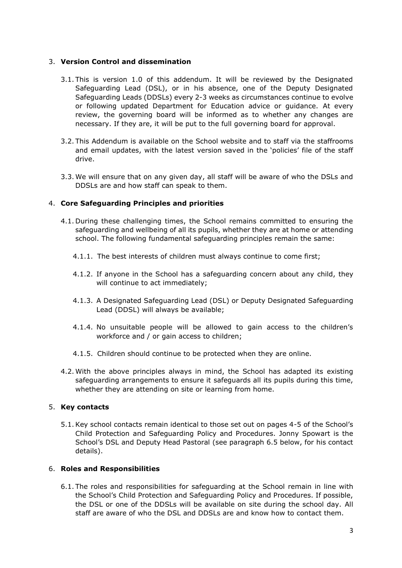#### 3. **Version Control and dissemination**

- 3.1. This is version 1.0 of this addendum. It will be reviewed by the Designated Safeguarding Lead (DSL), or in his absence, one of the Deputy Designated Safeguarding Leads (DDSLs) every 2-3 weeks as circumstances continue to evolve or following updated Department for Education advice or guidance. At every review, the governing board will be informed as to whether any changes are necessary. If they are, it will be put to the full governing board for approval.
- 3.2. This Addendum is available on the School website and to staff via the staffrooms and email updates, with the latest version saved in the 'policies' file of the staff drive.
- 3.3. We will ensure that on any given day, all staff will be aware of who the DSLs and DDSLs are and how staff can speak to them.

# 4. **Core Safeguarding Principles and priorities**

- 4.1. During these challenging times, the School remains committed to ensuring the safeguarding and wellbeing of all its pupils, whether they are at home or attending school. The following fundamental safeguarding principles remain the same:
	- 4.1.1. The best interests of children must always continue to come first;
	- 4.1.2. If anyone in the School has a safeguarding concern about any child, they will continue to act immediately;
	- 4.1.3. A Designated Safeguarding Lead (DSL) or Deputy Designated Safeguarding Lead (DDSL) will always be available;
	- 4.1.4. No unsuitable people will be allowed to gain access to the children's workforce and / or gain access to children;
	- 4.1.5. Children should continue to be protected when they are online.
- 4.2. With the above principles always in mind, the School has adapted its existing safeguarding arrangements to ensure it safeguards all its pupils during this time, whether they are attending on site or learning from home.

# 5. **Key contacts**

5.1.Key school contacts remain identical to those set out on pages 4-5 of the School's Child Protection and Safeguarding Policy and Procedures. Jonny Spowart is the School's DSL and Deputy Head Pastoral (see paragraph 6.5 below, for his contact details).

# 6. **Roles and Responsibilities**

6.1. The roles and responsibilities for safeguarding at the School remain in line with the School's Child Protection and Safeguarding Policy and Procedures. If possible, the DSL or one of the DDSLs will be available on site during the school day. All staff are aware of who the DSL and DDSLs are and know how to contact them.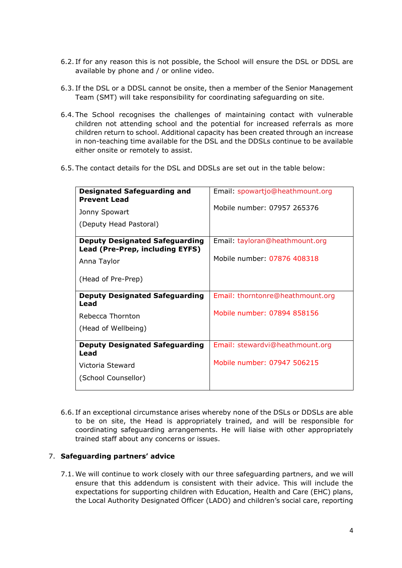- 6.2. If for any reason this is not possible, the School will ensure the DSL or DDSL are available by phone and / or online video.
- 6.3. If the DSL or a DDSL cannot be onsite, then a member of the Senior Management Team (SMT) will take responsibility for coordinating safeguarding on site.
- 6.4. The School recognises the challenges of maintaining contact with vulnerable children not attending school and the potential for increased referrals as more children return to school. Additional capacity has been created through an increase in non-teaching time available for the DSL and the DDSLs continue to be available either onsite or remotely to assist.
- 6.5. The contact details for the DSL and DDSLs are set out in the table below:

| <b>Designated Safeguarding and</b><br><b>Prevent Lead</b>                | Email: spowartjo@heathmount.org  |
|--------------------------------------------------------------------------|----------------------------------|
| Jonny Spowart                                                            | Mobile number: 07957 265376      |
| (Deputy Head Pastoral)                                                   |                                  |
| <b>Deputy Designated Safeguarding</b><br>Lead (Pre-Prep, including EYFS) | Email: tayloran@heathmount.org   |
| Anna Taylor                                                              | Mobile number: 07876 408318      |
| (Head of Pre-Prep)                                                       |                                  |
| <b>Deputy Designated Safeguarding</b><br>Lead                            | Email: thorntonre@heathmount.org |
| Rebecca Thornton                                                         | Mobile number: 07894 858156      |
| (Head of Wellbeing)                                                      |                                  |
| <b>Deputy Designated Safeguarding</b><br>Lead                            | Email: stewardvi@heathmount.org  |
| Victoria Steward                                                         | Mobile number: 07947 506215      |
| (School Counsellor)                                                      |                                  |

6.6. If an exceptional circumstance arises whereby none of the DSLs or DDSLs are able to be on site, the Head is appropriately trained, and will be responsible for coordinating safeguarding arrangements. He will liaise with other appropriately trained staff about any concerns or issues.

#### 7. **Safeguarding partners' advice**

7.1. We will continue to work closely with our three safeguarding partners, and we will ensure that this addendum is consistent with their advice. This will include the expectations for supporting children with Education, Health and Care (EHC) plans, the Local Authority Designated Officer (LADO) and children's social care, reporting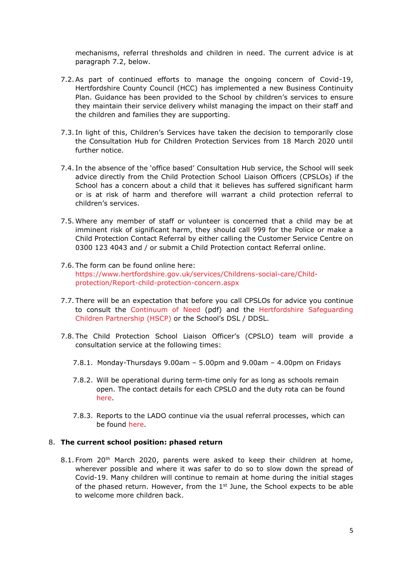mechanisms, referral thresholds and children in need. The current advice is at paragraph 7.2, below.

- 7.2.As part of continued efforts to manage the ongoing concern of Covid-19, Hertfordshire County Council (HCC) has implemented a new Business Continuity Plan. Guidance has been provided to the School by children's services to ensure they maintain their service delivery whilst managing the impact on their staff and the children and families they are supporting.
- 7.3. In light of this, Children's Services have taken the decision to temporarily close the Consultation Hub for Children Protection Services from 18 March 2020 until further notice.
- 7.4. In the absence of the 'office based' Consultation Hub service, the School will seek advice directly from the Child Protection School Liaison Officers (CPSLOs) if the School has a concern about a child that it believes has suffered significant harm or is at risk of harm and therefore will warrant a child protection referral to children's services.
- 7.5. Where any member of staff or volunteer is concerned that a child may be at imminent risk of significant harm, they should call 999 for the Police or make a Child Protection Contact Referral by either calling the Customer Service Centre on 0300 123 4043 and / or submit a Child Protection contact Referral online.
- 7.6. The form can be found online here: [https://www.hertfordshire.gov.uk/services/Childrens-social-care/Child](https://www.hertfordshire.gov.uk/services/Childrens-social-care/Child-protection/Report-child-protection-concern.aspx)[protection/Report-child-protection-concern.aspx](https://www.hertfordshire.gov.uk/services/Childrens-social-care/Child-protection/Report-child-protection-concern.aspx)
- 7.7. There will be an expectation that before you call CPSLOs for advice you continue to consult the [Continuum of Need](https://www.thegrid.org.uk/info/welfare/child_protection/referral/documents/continuum_of_needs_hscb_mar17.pdf) (pdf) and the [Hertfordshire Safeguarding](https://hertsscb.proceduresonline.com/)  [Children Partnership \(HSCP\)](https://hertsscb.proceduresonline.com/) or the School's DSL / DDSL.
- 7.8. The Child Protection School Liaison Officer's (CPSLO) team will provide a consultation service at the following times:
	- 7.8.1. Monday-Thursdays 9.00am 5.00pm and 9.00am 4.00pm on Fridays
	- 7.8.2. Will be operational during term-time only for as long as schools remain open. The contact details for each CPSLO and the duty rota can be found [here.](https://www.thegrid.org.uk/info/welfare/child_protection/referral/consultation.shtml)
	- 7.8.3. Reports to the LADO continue via the usual referral processes, which can be found [here.](https://hertsscb.proceduresonline.com/pdfs/lado_threshold.pdf)

#### 8. **The current school position: phased return**

8.1. From 20<sup>th</sup> March 2020, parents were asked to keep their children at home, wherever possible and where it was safer to do so to slow down the spread of Covid-19. Many children will continue to remain at home during the initial stages of the phased return. However, from the  $1<sup>st</sup>$  June, the School expects to be able to welcome more children back.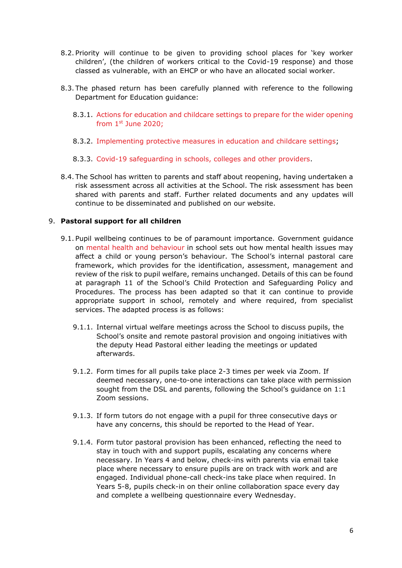- 8.2. Priority will continue to be given to providing school places for 'key worker children', (the children of workers critical to the Covid-19 response) and those classed as vulnerable, with an EHCP or who have an allocated social worker.
- 8.3. The phased return has been carefully planned with reference to the following Department for Education guidance:
	- 8.3.1. [Actions for education and childcare settings to prepare for the wider opening](https://www.gov.uk/government/publications/actions-for-educational-and-childcare-settings-to-prepare-for-wider-opening-from-1-june-2020/actions-for-education-and-childcare-settings-to-prepare-for-wider-opening-from-1-june-2020)  from 1st [June 2020;](https://www.gov.uk/government/publications/actions-for-educational-and-childcare-settings-to-prepare-for-wider-opening-from-1-june-2020/actions-for-education-and-childcare-settings-to-prepare-for-wider-opening-from-1-june-2020)
	- 8.3.2. [Implementing protective measures in education and childcare settings;](https://www.gov.uk/government/publications/coronavirus-covid-19-implementing-protective-measures-in-education-and-childcare-settings/coronavirus-covid-19-implementing-protective-measures-in-education-and-childcare-settings)
	- 8.3.3. [Covid-19 safeguarding in schools, colleges and other providers.](https://www.gov.uk/government/publications/covid-19-safeguarding-in-schools-colleges-and-other-providers)
- 8.4. The School has written to parents and staff about reopening, having undertaken a risk assessment across all activities at the School. The risk assessment has been shared with parents and staff. Further related documents and any updates will continue to be disseminated and published on our website.

#### 9. **Pastoral support for all children**

- 9.1. Pupil wellbeing continues to be of paramount importance. Government guidance on [mental health and behaviour](https://assets.publishing.service.gov.uk/government/uploads/system/uploads/attachment_data/file/755135/Mental_health_and_behaviour_in_schools__.pdf) in school sets out how mental health issues may affect a child or young person's behaviour. The School's internal pastoral care framework, which provides for the identification, assessment, management and review of the risk to pupil welfare, remains unchanged. Details of this can be found at paragraph 11 of the School's Child Protection and Safeguarding Policy and Procedures. The process has been adapted so that it can continue to provide appropriate support in school, remotely and where required, from specialist services. The adapted process is as follows:
	- 9.1.1. Internal virtual welfare meetings across the School to discuss pupils, the School's onsite and remote pastoral provision and ongoing initiatives with the deputy Head Pastoral either leading the meetings or updated afterwards.
	- 9.1.2. Form times for all pupils take place 2-3 times per week via Zoom. If deemed necessary, one-to-one interactions can take place with permission sought from the DSL and parents, following the School's guidance on 1:1 Zoom sessions.
	- 9.1.3. If form tutors do not engage with a pupil for three consecutive days or have any concerns, this should be reported to the Head of Year.
	- 9.1.4. Form tutor pastoral provision has been enhanced, reflecting the need to stay in touch with and support pupils, escalating any concerns where necessary. In Years 4 and below, check-ins with parents via email take place where necessary to ensure pupils are on track with work and are engaged. Individual phone-call check-ins take place when required. In Years 5-8, pupils check-in on their online collaboration space every day and complete a wellbeing questionnaire every Wednesday.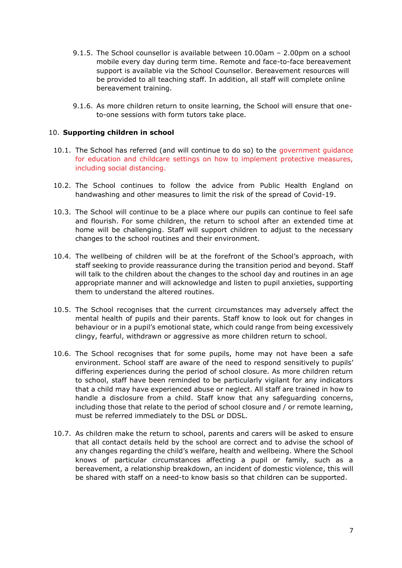- 9.1.5. The School counsellor is available between 10.00am 2.00pm on a school mobile every day during term time. Remote and face-to-face bereavement support is available via the School Counsellor. Bereavement resources will be provided to all teaching staff. In addition, all staff will complete online bereavement training.
- 9.1.6. As more children return to onsite learning, the School will ensure that oneto-one sessions with form tutors take place.

#### 10. **Supporting children in school**

- 10.1. The School has referred (and will continue to do so) to the [government guidance](https://www.gov.uk/government/publications/coronavirus-covid-19-implementing-protective-measures-in-education-and-childcare-settings)  [for education and childcare settings on how to implement protective measures,](https://www.gov.uk/government/publications/coronavirus-covid-19-implementing-protective-measures-in-education-and-childcare-settings)  [including social distancing.](https://www.gov.uk/government/publications/coronavirus-covid-19-implementing-protective-measures-in-education-and-childcare-settings)
- 10.2. The School continues to follow the advice from Public Health England on handwashing and other measures to limit the risk of the spread of Covid-19.
- 10.3. The School will continue to be a place where our pupils can continue to feel safe and flourish. For some children, the return to school after an extended time at home will be challenging. Staff will support children to adjust to the necessary changes to the school routines and their environment.
- 10.4. The wellbeing of children will be at the forefront of the School's approach, with staff seeking to provide reassurance during the transition period and beyond. Staff will talk to the children about the changes to the school day and routines in an age appropriate manner and will acknowledge and listen to pupil anxieties, supporting them to understand the altered routines.
- 10.5. The School recognises that the current circumstances may adversely affect the mental health of pupils and their parents. Staff know to look out for changes in behaviour or in a pupil's emotional state, which could range from being excessively clingy, fearful, withdrawn or aggressive as more children return to school.
- 10.6. The School recognises that for some pupils, home may not have been a safe environment. School staff are aware of the need to respond sensitively to pupils' differing experiences during the period of school closure. As more children return to school, staff have been reminded to be particularly vigilant for any indicators that a child may have experienced abuse or neglect. All staff are trained in how to handle a disclosure from a child. Staff know that any safeguarding concerns, including those that relate to the period of school closure and / or remote learning, must be referred immediately to the DSL or DDSL.
- 10.7. As children make the return to school, parents and carers will be asked to ensure that all contact details held by the school are correct and to advise the school of any changes regarding the child's welfare, health and wellbeing. Where the School knows of particular circumstances affecting a pupil or family, such as a bereavement, a relationship breakdown, an incident of domestic violence, this will be shared with staff on a need-to know basis so that children can be supported.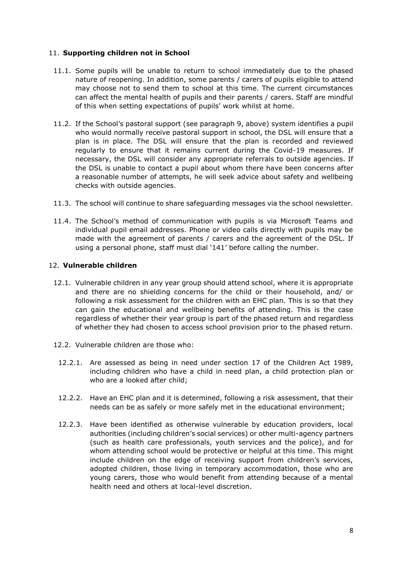# 11. **Supporting children not in School**

- 11.1. Some pupils will be unable to return to school immediately due to the phased nature of reopening. In addition, some parents / carers of pupils eligible to attend may choose not to send them to school at this time. The current circumstances can affect the mental health of pupils and their parents / carers. Staff are mindful of this when setting expectations of pupils' work whilst at home.
- 11.2. If the School's pastoral support (see paragraph 9, above) system identifies a pupil who would normally receive pastoral support in school, the DSL will ensure that a plan is in place. The DSL will ensure that the plan is recorded and reviewed regularly to ensure that it remains current during the Covid-19 measures. If necessary, the DSL will consider any appropriate referrals to outside agencies. If the DSL is unable to contact a pupil about whom there have been concerns after a reasonable number of attempts, he will seek advice about safety and wellbeing checks with outside agencies.
- 11.3. The school will continue to share safeguarding messages via the school newsletter.
- 11.4. The School's method of communication with pupils is via Microsoft Teams and individual pupil email addresses. Phone or video calls directly with pupils may be made with the agreement of parents / carers and the agreement of the DSL. If using a personal phone, staff must dial '141' before calling the number.

#### 12. **Vulnerable children**

- 12.1. Vulnerable children in any year group should attend school, where it is appropriate and there are no shielding concerns for the child or their household, and/ or following a risk assessment for the children with an EHC plan. This is so that they can gain the educational and wellbeing benefits of attending. This is the case regardless of whether their year group is part of the phased return and regardless of whether they had chosen to access school provision prior to the phased return.
- 12.2. Vulnerable children are those who:
	- 12.2.1. Are assessed as being in need under section 17 of the Children Act 1989, including children who have a child in need plan, a child protection plan or who are a looked after child;
	- 12.2.2. Have an EHC plan and it is determined, following a risk assessment, that their needs can be as safely or more safely met in the educational environment;
	- 12.2.3. Have been identified as otherwise vulnerable by education providers, local authorities (including children's social services) or other multi-agency partners (such as health care professionals, youth services and the police), and for whom attending school would be protective or helpful at this time. This might include children on the edge of receiving support from children's services, adopted children, those living in temporary accommodation, those who are young carers, those who would benefit from attending because of a mental health need and others at local-level discretion.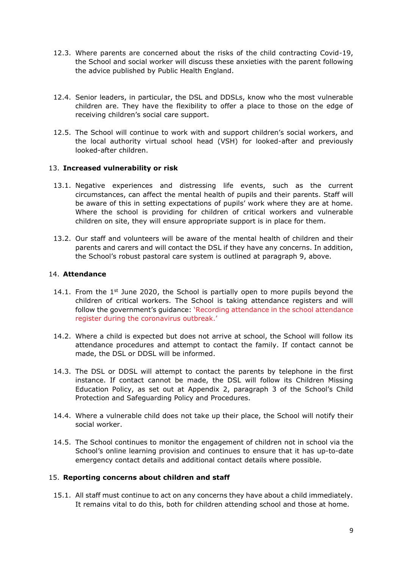- 12.3. Where parents are concerned about the risks of the child contracting Covid-19, the School and social worker will discuss these anxieties with the parent following the advice published by Public Health England.
- 12.4. Senior leaders, in particular, the DSL and DDSLs, know who the most vulnerable children are. They have the flexibility to offer a place to those on the edge of receiving children's social care support.
- 12.5. The School will continue to work with and support children's social workers, and the local authority virtual school head (VSH) for looked-after and previously looked-after children.

# 13. **Increased vulnerability or risk**

- 13.1. Negative experiences and distressing life events, such as the current circumstances, can affect the mental health of pupils and their parents. Staff will be aware of this in setting expectations of pupils' work where they are at home. Where the school is providing for children of critical workers and vulnerable children on site, they will ensure appropriate support is in place for them.
- 13.2. Our staff and volunteers will be aware of the mental health of children and their parents and carers and will contact the DSL if they have any concerns. In addition, the School's robust pastoral care system is outlined at paragraph 9, above.

#### 14. **Attendance**

- 14.1. From the  $1^{st}$  June 2020, the School is partially open to more pupils beyond the children of critical workers. The School is taking attendance registers and will follow the government's guidance: ['Recording attendance in the school attendance](https://www.gov.uk/government/publications/coronavirus-covid-19-attendance-recording-for-educational-settings/process-for-recording-attendance-and-using-the-educational-setting-status-form)  [register during the coronavirus outbreak.'](https://www.gov.uk/government/publications/coronavirus-covid-19-attendance-recording-for-educational-settings/process-for-recording-attendance-and-using-the-educational-setting-status-form)
- 14.2. Where a child is expected but does not arrive at school, the School will follow its attendance procedures and attempt to contact the family. If contact cannot be made, the DSL or DDSL will be informed.
- 14.3. The DSL or DDSL will attempt to contact the parents by telephone in the first instance. If contact cannot be made, the DSL will follow its Children Missing Education Policy, as set out at Appendix 2, paragraph 3 of the School's Child Protection and Safeguarding Policy and Procedures.
- 14.4. Where a vulnerable child does not take up their place, the School will notify their social worker.
- 14.5. The School continues to monitor the engagement of children not in school via the School's online learning provision and continues to ensure that it has up-to-date emergency contact details and additional contact details where possible.

#### 15. **Reporting concerns about children and staff**

15.1. All staff must continue to act on any concerns they have about a child immediately. It remains vital to do this, both for children attending school and those at home.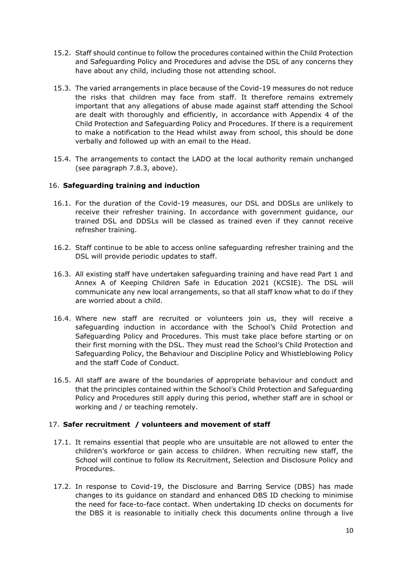- 15.2. Staff should continue to follow the procedures contained within the Child Protection and Safeguarding Policy and Procedures and advise the DSL of any concerns they have about any child, including those not attending school.
- 15.3. The varied arrangements in place because of the Covid-19 measures do not reduce the risks that children may face from staff. It therefore remains extremely important that any allegations of abuse made against staff attending the School are dealt with thoroughly and efficiently, in accordance with Appendix 4 of the Child Protection and Safeguarding Policy and Procedures. If there is a requirement to make a notification to the Head whilst away from school, this should be done verbally and followed up with an email to the Head.
- 15.4. The arrangements to contact the LADO at the local authority remain unchanged (see paragraph 7.8.3, above).

# 16. **Safeguarding training and induction**

- 16.1. For the duration of the Covid-19 measures, our DSL and DDSLs are unlikely to receive their refresher training. In accordance with government guidance, our trained DSL and DDSLs will be classed as trained even if they cannot receive refresher training.
- 16.2. Staff continue to be able to access online safeguarding refresher training and the DSL will provide periodic updates to staff.
- 16.3. All existing staff have undertaken safeguarding training and have read Part 1 and Annex A of Keeping Children Safe in Education 2021 (KCSIE). The DSL will communicate any new local arrangements, so that all staff know what to do if they are worried about a child.
- 16.4. Where new staff are recruited or volunteers join us, they will receive a safeguarding induction in accordance with the School's Child Protection and Safeguarding Policy and Procedures. This must take place before starting or on their first morning with the DSL. They must read the School's Child Protection and Safeguarding Policy, the Behaviour and Discipline Policy and Whistleblowing Policy and the staff Code of Conduct.
- 16.5. All staff are aware of the boundaries of appropriate behaviour and conduct and that the principles contained within the School's Child Protection and Safeguarding Policy and Procedures still apply during this period, whether staff are in school or working and / or teaching remotely.

# 17. **Safer recruitment / volunteers and movement of staff**

- 17.1. It remains essential that people who are unsuitable are not allowed to enter the children's workforce or gain access to children. When recruiting new staff, the School will continue to follow its Recruitment, Selection and Disclosure Policy and Procedures.
- 17.2. In response to Covid-19, the Disclosure and Barring Service (DBS) has made changes to its guidance on standard and enhanced DBS ID checking to minimise the need for face-to-face contact. When undertaking ID checks on documents for the DBS it is reasonable to initially check this documents online through a live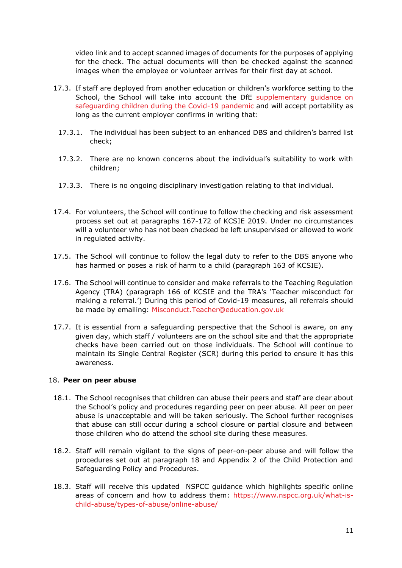video link and to accept scanned images of documents for the purposes of applying for the check. The actual documents will then be checked against the scanned images when the employee or volunteer arrives for their first day at school.

- 17.3. If staff are deployed from another education or children's workforce setting to the School, the School will take into account the DfE [supplementary guidance on](https://www.gov.uk/government/publications/covid-19-safeguarding-in-schools-colleges-and-other-providers)  [safeguarding children during the Covid-19 pandemic](https://www.gov.uk/government/publications/covid-19-safeguarding-in-schools-colleges-and-other-providers) and will accept portability as long as the current employer confirms in writing that:
	- 17.3.1. The individual has been subject to an enhanced DBS and children's barred list check;
	- 17.3.2. There are no known concerns about the individual's suitability to work with children;
	- 17.3.3. There is no ongoing disciplinary investigation relating to that individual.
- 17.4. For volunteers, the School will continue to follow the checking and risk assessment process set out at paragraphs 167-172 of KCSIE 2019. Under no circumstances will a volunteer who has not been checked be left unsupervised or allowed to work in regulated activity.
- 17.5. The School will continue to follow the legal duty to refer to the DBS anyone who has harmed or poses a risk of harm to a child (paragraph 163 of KCSIE).
- 17.6. The School will continue to consider and make referrals to the Teaching Regulation Agency (TRA) (paragraph 166 of KCSIE and the TRA's 'Teacher misconduct for making a referral.') During this period of Covid-19 measures, all referrals should be made by emailing: [Misconduct.Teacher@education.gov.uk](mailto:Misconduct.Teacher@education.gov.uk)
- 17.7. It is essential from a safeguarding perspective that the School is aware, on any given day, which staff / volunteers are on the school site and that the appropriate checks have been carried out on those individuals. The School will continue to maintain its Single Central Register (SCR) during this period to ensure it has this awareness.

#### 18. **Peer on peer abuse**

- 18.1. The School recognises that children can abuse their peers and staff are clear about the School's policy and procedures regarding peer on peer abuse. All peer on peer abuse is unacceptable and will be taken seriously. The School further recognises that abuse can still occur during a school closure or partial closure and between those children who do attend the school site during these measures.
- 18.2. Staff will remain vigilant to the signs of peer-on-peer abuse and will follow the procedures set out at paragraph 18 and Appendix 2 of the Child Protection and Safeguarding Policy and Procedures.
- 18.3. Staff will receive this updated NSPCC guidance which highlights specific online areas of concern and how to address them: [https://www.nspcc.org.uk/what-is](https://www.nspcc.org.uk/what-is-child-abuse/types-of-abuse/online-abuse/)[child-abuse/types-of-abuse/online-abuse/](https://www.nspcc.org.uk/what-is-child-abuse/types-of-abuse/online-abuse/)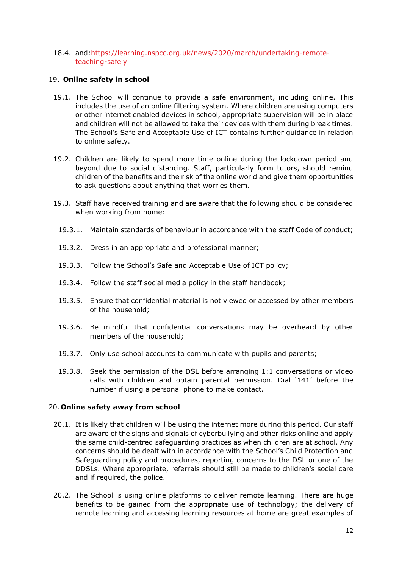18.4. and[:https://learning.nspcc.org.uk/news/2020/march/undertaking-remote](https://learning.nspcc.org.uk/news/2020/march/undertaking-remote-teaching-safely)[teaching-safely](https://learning.nspcc.org.uk/news/2020/march/undertaking-remote-teaching-safely)

### 19. **Online safety in school**

- 19.1. The School will continue to provide a safe environment, including online. This includes the use of an online filtering system. Where children are using computers or other internet enabled devices in school, appropriate supervision will be in place and children will not be allowed to take their devices with them during break times. The School's Safe and Acceptable Use of ICT contains further guidance in relation to online safety.
- 19.2. Children are likely to spend more time online during the lockdown period and beyond due to social distancing. Staff, particularly form tutors, should remind children of the benefits and the risk of the online world and give them opportunities to ask questions about anything that worries them.
- 19.3. Staff have received training and are aware that the following should be considered when working from home:
	- 19.3.1. Maintain standards of behaviour in accordance with the staff Code of conduct;
	- 19.3.2. Dress in an appropriate and professional manner;
	- 19.3.3. Follow the School's Safe and Acceptable Use of ICT policy;
	- 19.3.4. Follow the staff social media policy in the staff handbook;
	- 19.3.5. Ensure that confidential material is not viewed or accessed by other members of the household;
	- 19.3.6. Be mindful that confidential conversations may be overheard by other members of the household;
	- 19.3.7. Only use school accounts to communicate with pupils and parents;
	- 19.3.8. Seek the permission of the DSL before arranging 1:1 conversations or video calls with children and obtain parental permission. Dial '141' before the number if using a personal phone to make contact.

# 20. **Online safety away from school**

- 20.1. It is likely that children will be using the internet more during this period. Our staff are aware of the signs and signals of cyberbullying and other risks online and apply the same child-centred safeguarding practices as when children are at school. Any concerns should be dealt with in accordance with the School's Child Protection and Safeguarding policy and procedures, reporting concerns to the DSL or one of the DDSLs. Where appropriate, referrals should still be made to children's social care and if required, the police.
- 20.2. The School is using online platforms to deliver remote learning. There are huge benefits to be gained from the appropriate use of technology; the delivery of remote learning and accessing learning resources at home are great examples of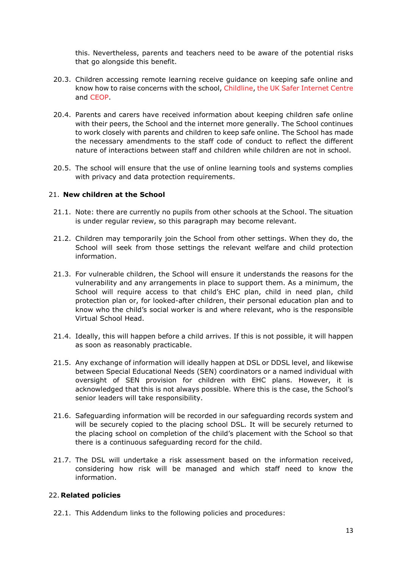this. Nevertheless, parents and teachers need to be aware of the potential risks that go alongside this benefit.

- 20.3. Children accessing remote learning receive guidance on keeping safe online and know how to raise concerns with the school, [Childline,](https://www.childline.org.uk/) [the UK Safer Internet Centre](https://www.saferinternet.org.uk/)  and [CEOP.](https://www.ceop.police.uk/safety-centre/)
- 20.4. Parents and carers have received information about keeping children safe online with their peers, the School and the internet more generally. The School continues to work closely with parents and children to keep safe online. The School has made the necessary amendments to the staff code of conduct to reflect the different nature of interactions between staff and children while children are not in school.
- 20.5. The school will ensure that the use of online learning tools and systems complies with privacy and data protection requirements.

#### 21. **New children at the School**

- 21.1. Note: there are currently no pupils from other schools at the School. The situation is under regular review, so this paragraph may become relevant.
- 21.2. Children may temporarily join the School from other settings. When they do, the School will seek from those settings the relevant welfare and child protection information.
- 21.3. For vulnerable children, the School will ensure it understands the reasons for the vulnerability and any arrangements in place to support them. As a minimum, the School will require access to that child's EHC plan, child in need plan, child protection plan or, for looked-after children, their personal education plan and to know who the child's social worker is and where relevant, who is the responsible Virtual School Head.
- 21.4. Ideally, this will happen before a child arrives. If this is not possible, it will happen as soon as reasonably practicable.
- 21.5. Any exchange of information will ideally happen at DSL or DDSL level, and likewise between Special Educational Needs (SEN) coordinators or a named individual with oversight of SEN provision for children with EHC plans. However, it is acknowledged that this is not always possible. Where this is the case, the School's senior leaders will take responsibility.
- 21.6. Safeguarding information will be recorded in our safeguarding records system and will be securely copied to the placing school DSL. It will be securely returned to the placing school on completion of the child's placement with the School so that there is a continuous safeguarding record for the child.
- 21.7. The DSL will undertake a risk assessment based on the information received, considering how risk will be managed and which staff need to know the information.

#### 22. **Related policies**

22.1. This Addendum links to the following policies and procedures: